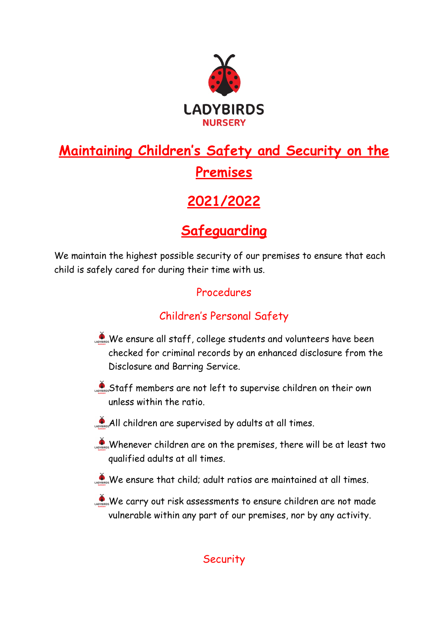

# **Maintaining Children's Safety and Security on the Premises**

## **2021/2022**

### **Safeguarding**

We maintain the highest possible security of our premises to ensure that each child is safely cared for during their time with us.

#### Procedures

### Children's Personal Safety

- We ensure all staff, college students and volunteers have been checked for criminal records by an enhanced disclosure from the Disclosure and Barring Service.
- Staff members are not left to supervise children on their own unless within the ratio.
- All children are supervised by adults at all times.
- Whenever children are on the premises, there will be at least two qualified adults at all times.
- $\phi$  We ensure that child; adult ratios are maintained at all times.
- We carry out risk assessments to ensure children are not made vulnerable within any part of our premises, nor by any activity.

#### **Security**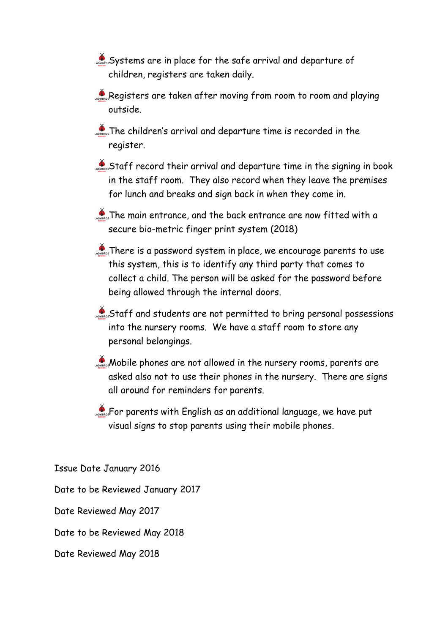Systems are in place for the safe arrival and departure of children, registers are taken daily.

Registers are taken after moving from room to room and playing outside.

**The children's arrival and departure time is recorded in the** register.

Staff record their arrival and departure time in the signing in book in the staff room. They also record when they leave the premises for lunch and breaks and sign back in when they come in.

**The main entrance, and the back entrance are now fitted with a** secure bio-metric finger print system (2018)

**There is a password system in place, we encourage parents to use** this system, this is to identify any third party that comes to collect a child. The person will be asked for the password before being allowed through the internal doors.

Staff and students are not permitted to bring personal possessions into the nursery rooms. We have a staff room to store any personal belongings.

**Mobile phones are not allowed in the nursery rooms, parents are** asked also not to use their phones in the nursery. There are signs all around for reminders for parents.

For parents with English as an additional language, we have put visual signs to stop parents using their mobile phones.

Issue Date January 2016 Date to be Reviewed January 2017

Date Reviewed May 2017

Date to be Reviewed May 2018

Date Reviewed May 2018